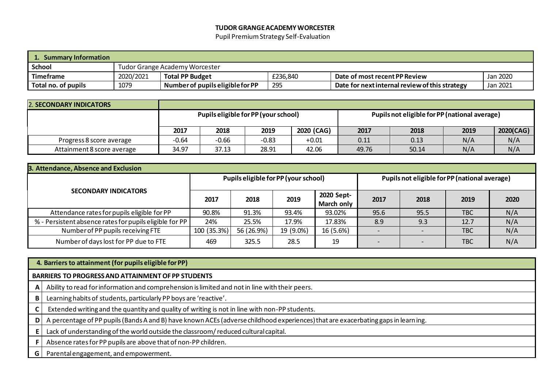#### **TUDOR GRANGEACADEMYWORCESTER**

Pupil PremiumStrategy Self-Evaluation

| <b>Summary Information</b> |           |                                       |          |                                                |          |  |  |  |  |  |
|----------------------------|-----------|---------------------------------------|----------|------------------------------------------------|----------|--|--|--|--|--|
| <b>School</b>              |           | <b>Tudor Grange Academy Worcester</b> |          |                                                |          |  |  |  |  |  |
| Timeframe                  | 2020/2021 | <b>Total PP Budget</b>                | £236.840 | Date of most recent PP Review                  | Jan 2020 |  |  |  |  |  |
| Total no. of pupils        | 1079      | Number of pupils eligible for PP      | 295      | Date for next internal review of this strategy | Jan 2021 |  |  |  |  |  |

| <b>2. SECONDARY INDICATORS</b> |         |                                      |         |            |                                               |       |      |           |
|--------------------------------|---------|--------------------------------------|---------|------------|-----------------------------------------------|-------|------|-----------|
|                                |         | Pupils eligible for PP (your school) |         |            | Pupils not eligible for PP (national average) |       |      |           |
|                                | 2017    | 2018                                 | 2019    | 2020 (CAG) | 2017                                          | 2018  | 2019 | 2020(CAG) |
| Progress 8 score average       | $-0.64$ | $-0.66$                              | $-0.83$ | $+0.01$    | 0.11                                          | 0.13  | N/A  | N/A       |
| Attainment 8 score average     | 34.97   | 37.13                                | 28.91   | 42.06      | 49.76                                         | 50.14 | N/A  | N/A       |

| 3. Attendance, Absence and Exclusion                    |             |                                      |           |                          |      |                                               |            |      |  |  |  |  |
|---------------------------------------------------------|-------------|--------------------------------------|-----------|--------------------------|------|-----------------------------------------------|------------|------|--|--|--|--|
|                                                         |             | Pupils eligible for PP (your school) |           |                          |      | Pupils not eligible for PP (national average) |            |      |  |  |  |  |
| <b>SECONDARY INDICATORS</b>                             | 2017        | 2018                                 | 2019      | 2020 Sept-<br>March only | 2017 | 2018                                          | 2019       | 2020 |  |  |  |  |
| Attendance rates for pupils eligible for PP             | 90.8%       | 91.3%                                | 93.4%     | 93.02%                   | 95.6 | 95.5                                          | <b>TBC</b> | N/A  |  |  |  |  |
| % - Persistent absence rates for pupils eligible for PP | 24%         | 25.5%                                | 17.9%     | 17.83%                   | 8.9  | 9.3                                           | 12.7       | N/A  |  |  |  |  |
| Number of PP pupils receiving FTE                       | 100 (35.3%) | 56 (26.9%)                           | 19 (9.0%) | 16 (5.6%)                |      | $\overline{\phantom{0}}$                      | <b>TBC</b> | N/A  |  |  |  |  |
| Number of days lost for PP due to FTE                   | 469         | 325.5                                | 28.5      | 19                       |      | $\overline{\phantom{0}}$                      | <b>TBC</b> | N/A  |  |  |  |  |

|   | 4. Barriers to attainment (for pupils eligible for PP)                                                                            |  |  |  |  |  |  |  |
|---|-----------------------------------------------------------------------------------------------------------------------------------|--|--|--|--|--|--|--|
|   | <b>BARRIERS TO PROGRESS AND ATTAINMENT OF PP STUDENTS</b>                                                                         |  |  |  |  |  |  |  |
| A | Ability to read for information and comprehension is limited and not in line with their peers.                                    |  |  |  |  |  |  |  |
| B | Learning habits of students, particularly PP boys are 'reactive'.                                                                 |  |  |  |  |  |  |  |
| J | Extended writing and the quantity and quality of writing is not in line with non-PP students.                                     |  |  |  |  |  |  |  |
| D | A percentage of PP pupils (Bands A and B) have known ACEs (adverse childhood experiences) that are exacerbating gaps in learning. |  |  |  |  |  |  |  |
|   | Lack of understanding of the world outside the classroom/reduced cultural capital.                                                |  |  |  |  |  |  |  |
|   | Absence rates for PP pupils are above that of non-PP children.                                                                    |  |  |  |  |  |  |  |
| G | Parental engagement, and empowerment.                                                                                             |  |  |  |  |  |  |  |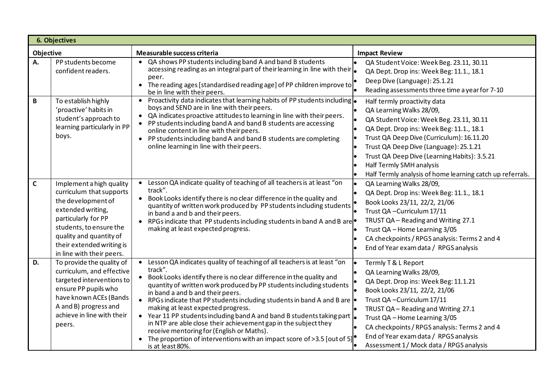|             | <b>6. Objectives</b>                                                                                                                                                                                                                   |                                                                                                                                                                                                                                                                                                                                                                                                                                                                                                                                                                                                                                                                                                                                                          |                                                                                                                                                                                                                                                                                                                                                                                  |
|-------------|----------------------------------------------------------------------------------------------------------------------------------------------------------------------------------------------------------------------------------------|----------------------------------------------------------------------------------------------------------------------------------------------------------------------------------------------------------------------------------------------------------------------------------------------------------------------------------------------------------------------------------------------------------------------------------------------------------------------------------------------------------------------------------------------------------------------------------------------------------------------------------------------------------------------------------------------------------------------------------------------------------|----------------------------------------------------------------------------------------------------------------------------------------------------------------------------------------------------------------------------------------------------------------------------------------------------------------------------------------------------------------------------------|
| Objective   |                                                                                                                                                                                                                                        | Measurable success criteria                                                                                                                                                                                                                                                                                                                                                                                                                                                                                                                                                                                                                                                                                                                              | <b>Impact Review</b>                                                                                                                                                                                                                                                                                                                                                             |
| А.          | PP students become<br>confident readers.                                                                                                                                                                                               | QA shows PP students including band A and band B students<br>$\bullet$<br>accessing reading as an integral part of their learning in line with their $\left  \bullet \right $<br>peer.<br>The reading ages [standardised reading age] of PP children improve to<br>$\bullet$<br>be in line with their peers.                                                                                                                                                                                                                                                                                                                                                                                                                                             | QA Student Voice: Week Beg. 23.11, 30.11<br>lo<br>QA Dept. Drop ins: Week Beg: 11.1., 18.1<br>Deep Dive (Language): 25.1.21<br>Reading assessments three time a year for 7-10                                                                                                                                                                                                    |
| В           | To establish highly<br>'proactive' habits in<br>student's approach to<br>learning particularly in PP<br>boys.                                                                                                                          | • Proactivity data indicates that learning habits of PP students including $\bullet$<br>boys and SEND are in line with their peers.<br>QA indicates proactive attitudes to learning in line with their peers.<br>$\bullet$<br>PP students including band A and band B students are accessing<br>$\bullet$<br>online content in line with their peers.<br>• PP students including band A and band B students are completing<br>online learning in line with their peers.                                                                                                                                                                                                                                                                                  | Half termly proactivity data<br>QA Learning Walks 28/09,<br>QA Student Voice: Week Beg. 23.11, 30.11<br>QA Dept. Drop ins: Week Beg: 11.1., 18.1<br>Trust QA Deep Dive (Curriculum): 16.11.20<br>Trust QA Deep Dive (Language): 25.1.21<br>Trust QA Deep Dive (Learning Habits): 3.5.21<br>Half Termly SMH analysis<br>Half Termly analysis of home learning catch up referrals. |
| $\mathsf C$ | Implement a high quality<br>curriculum that supports<br>the development of<br>extended writing,<br>particularly for PP<br>students, to ensure the<br>quality and quantity of<br>their extended writing is<br>in line with their peers. | Lesson QA indicate quality of teaching of all teachers is at least "on<br>$\bullet$<br>track".<br>Book Looks identify there is no clear difference in the quality and<br>quantity of written work produced by PP students including students<br>in band a and b and their peers.<br>RPGs indicate that PP students including students in band A and B are<br>$\bullet$<br>making at least expected progress.                                                                                                                                                                                                                                                                                                                                             | QA Learning Walks 28/09,<br>QA Dept. Drop ins: Week Beg: 11.1., 18.1<br>Book Looks 23/11, 22/2, 21/06<br>Trust QA - Curriculum 17/11<br>TRUST QA - Reading and Writing 27.1<br>Trust QA - Home Learning 3/05<br>CA checkpoints / RPGS analysis: Terms 2 and 4<br>End of Year exam data / RPGS analysis                                                                           |
| D.          | To provide the quality of<br>curriculum, and effective<br>targeted interventions to<br>ensure PP pupils who<br>have known ACEs (Bands<br>A and B) progress and<br>achieve in line with their<br>peers.                                 | Lesson QA indicates quality of teaching of all teachers is at least "on<br>$\bullet$<br>track".<br>Book Looks identify there is no clear difference in the quality and<br>$\bullet$<br>quantity of written work produced by PP students including students<br>in band a and b and their peers.<br>RPGs indicate that PP students including students in band A and B are  <br>$\bullet$<br>making at least expected progress.<br>• Year 11 PP students including band A and band B students taking part  .<br>in NTP are able close their achievement gap in the subject they<br>receive mentoring for (English or Maths).<br>The proportion of interventions with an impact score of >3.5 [out of 5] <sup><math>\bullet</math></sup><br>is at least 80%. | Termly T & L Report<br>QA Learning Walks 28/09,<br>QA Dept. Drop ins: Week Beg: 11.1.21<br>Book Looks 23/11, 22/2, 21/06<br>Trust QA - Curriculum 17/11<br>TRUST QA - Reading and Writing 27.1<br>Trust QA - Home Learning 3/05<br>CA checkpoints / RPGS analysis: Terms 2 and 4<br>End of Year exam data / RPGS analysis<br>Assessment 1/ Mock data / RPGS analysis             |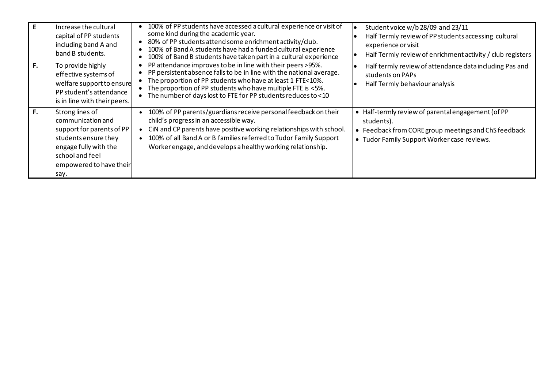|    | Increase the cultural<br>capital of PP students<br>including band A and<br>band B students.                                                                              | 100% of PP students have accessed a cultural experience or visit of<br>some kind during the academic year.<br>80% of PP students attend some enrichment activity/club.<br>100% of Band A students have had a funded cultural experience<br>100% of Band B students have taken part in a cultural experience                           | Student voice w/b 28/09 and 23/11<br>Half Termly review of PP students accessing cultural<br>experience or visit<br>Half Termly review of enrichment activity / club registers |
|----|--------------------------------------------------------------------------------------------------------------------------------------------------------------------------|---------------------------------------------------------------------------------------------------------------------------------------------------------------------------------------------------------------------------------------------------------------------------------------------------------------------------------------|--------------------------------------------------------------------------------------------------------------------------------------------------------------------------------|
| F. | To provide highly<br>effective systems of<br>welfare support to ensure<br>PP student's attendance<br>is in line with their peers.                                        | PP attendance improves to be in line with their peers >95%.<br>PP persistent absence falls to be in line with the national average.<br>• The proportion of PP students who have at least 1 FTE<10%.<br>The proportion of PP students who have multiple FTE is <5%.<br>• The number of days lost to FTE for PP students reduces to <10 | Half termly review of attendance data including Pas and<br>students on PAPs<br>Half Termly behaviour analysis                                                                  |
| F. | Strong lines of<br>communication and<br>support for parents of PP<br>students ensure they<br>engage fully with the<br>school and feel<br>empowered to have their<br>say. | 100% of PP parents/guardians receive personal feedback on their<br>child's progress in an accessible way.<br>CiN and CP parents have positive working relationships with school.<br>• 100% of all Band A or B families referred to Tudor Family Support<br>Worker engage, and develops a healthy working relationship.                | • Half-termly review of parental engagement (of PP<br>students).<br>Feedback from CORE group meetings and ChS feedback<br>• Tudor Family Support Worker case reviews.          |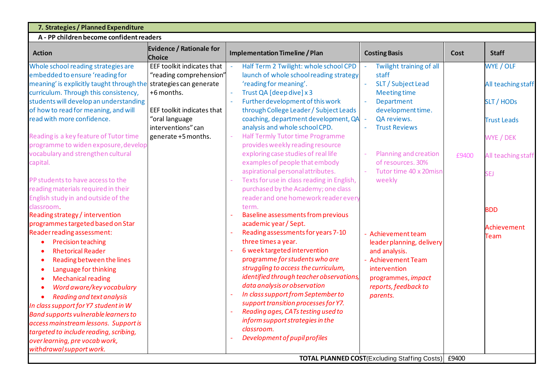| 7. Strategies / Planned Expenditure                               |                                                  |                                                                                 |                                                            |       |                    |  |  |  |  |  |
|-------------------------------------------------------------------|--------------------------------------------------|---------------------------------------------------------------------------------|------------------------------------------------------------|-------|--------------------|--|--|--|--|--|
| A - PP children become confident readers                          |                                                  |                                                                                 |                                                            |       |                    |  |  |  |  |  |
| <b>Action</b>                                                     | <b>Evidence / Rationale for</b><br><b>Choice</b> | <b>Implementation Timeline / Plan</b>                                           | <b>Costing Basis</b>                                       | Cost  | <b>Staff</b>       |  |  |  |  |  |
| Whole school reading strategies are                               | EEF toolkit indicates that                       | Half Term 2 Twilight: whole school CPD                                          | Twilight training of all                                   |       | WYE / OLF          |  |  |  |  |  |
| embedded to ensure 'reading for                                   | "reading comprehension"                          | launch of whole school reading strategy                                         | staff                                                      |       |                    |  |  |  |  |  |
| meaning' is explicitly taught through the strategies can generate |                                                  | 'reading for meaning'.                                                          | SLT / Subject Lead                                         |       | All teaching staff |  |  |  |  |  |
| curriculum. Through this consistency,                             | +6 months.                                       | Trust QA [deep dive] x 3                                                        | <b>Meeting time</b>                                        |       |                    |  |  |  |  |  |
| students will develop an understanding                            |                                                  | Further development of this work                                                | Department                                                 |       | <b>SLT/HODs</b>    |  |  |  |  |  |
| of how to read for meaning, and will                              | EEF toolkit indicates that                       | through College Leader / Subject Leads                                          | development time.                                          |       |                    |  |  |  |  |  |
| read with more confidence.                                        | "oral language                                   | coaching, department development, QA                                            | QA reviews.                                                |       | <b>Trust Leads</b> |  |  |  |  |  |
|                                                                   | interventions" can                               | analysis and whole school CPD.                                                  | <b>Trust Reviews</b>                                       |       |                    |  |  |  |  |  |
| Reading is a key feature of Tutor time                            | generate +5 months.                              | Half Termly Tutor time Programme                                                |                                                            |       | WYE / DEK          |  |  |  |  |  |
| programme to widen exposure, develop                              |                                                  | provides weekly reading resource                                                |                                                            |       |                    |  |  |  |  |  |
| vocabulary and strengthen cultural                                |                                                  | exploring case studies of real life                                             | Planning and creation<br>of resources. 30%                 | £9400 | All teaching staff |  |  |  |  |  |
| capital.                                                          |                                                  | examples of people that embody                                                  |                                                            |       |                    |  |  |  |  |  |
| PP students to have access to the                                 |                                                  | aspirational personal attributes.<br>Texts for use in class reading in English, | Tutor time 40 x 20misn<br>weekly                           |       | SEJ                |  |  |  |  |  |
| reading materials required in their                               |                                                  | purchased by the Academy; one class                                             |                                                            |       |                    |  |  |  |  |  |
| English study in and outside of the                               |                                                  | reader and one homework reader every                                            |                                                            |       |                    |  |  |  |  |  |
| classroom.                                                        |                                                  | term.                                                                           |                                                            |       |                    |  |  |  |  |  |
| Reading strategy / intervention                                   |                                                  | <b>Baseline assessments from previous</b>                                       |                                                            |       | <b>BDD</b>         |  |  |  |  |  |
| programmes targeted based on Star                                 |                                                  | academic year / Sept.                                                           |                                                            |       |                    |  |  |  |  |  |
| Reader reading assessment:                                        |                                                  | Reading assessments for years 7-10                                              | <b>Achievement team</b>                                    |       | <b>Achievement</b> |  |  |  |  |  |
| <b>Precision teaching</b>                                         |                                                  | three times a year.                                                             | leader planning, delivery                                  |       | <b>Team</b>        |  |  |  |  |  |
| <b>Rhetorical Reader</b>                                          |                                                  | 6 week targeted intervention                                                    | and analysis.                                              |       |                    |  |  |  |  |  |
| Reading between the lines                                         |                                                  | programme for students who are                                                  | - Achievement Team                                         |       |                    |  |  |  |  |  |
| Language for thinking                                             |                                                  | struggling to access the curriculum,                                            | intervention                                               |       |                    |  |  |  |  |  |
| <b>Mechanical reading</b>                                         |                                                  | identified through teacher observations,                                        | programmes, impact                                         |       |                    |  |  |  |  |  |
| Word aware/key vocabulary                                         |                                                  | data analysis or observation                                                    | reports, feedback to                                       |       |                    |  |  |  |  |  |
| Reading and text analysis<br>$\bullet$                            |                                                  | In class support from September to                                              | parents.                                                   |       |                    |  |  |  |  |  |
| In class support for Y7 student in W                              |                                                  | support transition processes for Y7.                                            |                                                            |       |                    |  |  |  |  |  |
| <b>Band supports vulnerable learners to</b>                       |                                                  | Reading ages, CATs testing used to                                              |                                                            |       |                    |  |  |  |  |  |
| access mainstream lessons. Support is                             |                                                  | inform support strategies in the                                                |                                                            |       |                    |  |  |  |  |  |
| targeted to include reading, scribing,                            |                                                  | classroom.                                                                      |                                                            |       |                    |  |  |  |  |  |
| over learning, pre vocab work,                                    |                                                  | Development of pupil profiles                                                   |                                                            |       |                    |  |  |  |  |  |
| withdrawal support work.                                          |                                                  |                                                                                 |                                                            |       |                    |  |  |  |  |  |
|                                                                   |                                                  |                                                                                 | <b>TOTAL PLANNED COST</b> (Excluding Staffing Costs) £9400 |       |                    |  |  |  |  |  |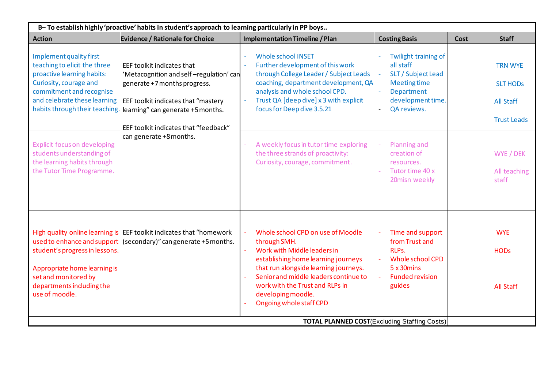| B- To establish highly 'proactive' habits in student's approach to learning particularly in PP boys                                                                         |                                                                                                                                                                                                                                                           |                                                                                                                                                                                                                                                                                               |                                                                                                                                                              |      |                                                                             |  |  |  |  |  |
|-----------------------------------------------------------------------------------------------------------------------------------------------------------------------------|-----------------------------------------------------------------------------------------------------------------------------------------------------------------------------------------------------------------------------------------------------------|-----------------------------------------------------------------------------------------------------------------------------------------------------------------------------------------------------------------------------------------------------------------------------------------------|--------------------------------------------------------------------------------------------------------------------------------------------------------------|------|-----------------------------------------------------------------------------|--|--|--|--|--|
| <b>Action</b>                                                                                                                                                               | <b>Evidence / Rationale for Choice</b>                                                                                                                                                                                                                    | <b>Implementation Timeline / Plan</b>                                                                                                                                                                                                                                                         | <b>Costing Basis</b>                                                                                                                                         | Cost | <b>Staff</b>                                                                |  |  |  |  |  |
| Implement quality first<br>teaching to elicit the three<br>proactive learning habits:<br>Curiosity, courage and<br>commitment and recognise<br>and celebrate these learning | EEF toolkit indicates that<br>'Metacognition and self-regulation' can<br>generate +7 months progress.<br>EEF toolkit indicates that "mastery<br>habits through their teaching. learning" can generate +5 months.<br>EEF toolkit indicates that "feedback" | <b>Whole school INSET</b><br>Further development of this work<br>through College Leader / Subject Leads<br>coaching, department development, QA<br>analysis and whole school CPD.<br>Trust QA [deep dive] x 3 with explicit<br>$\equiv$<br>focus for Deep dive 3.5.21                         | Twilight training of<br>all staff<br>SLT / Subject Lead<br><b>Meeting time</b><br>Department<br>development time.<br>QA reviews.<br>$\overline{\phantom{a}}$ |      | <b>TRN WYE</b><br><b>SLT HODS</b><br><b>All Staff</b><br><b>Trust Leads</b> |  |  |  |  |  |
| <b>Explicit focus on developing</b><br>students understanding of<br>the learning habits through<br>the Tutor Time Programme.                                                | can generate +8 months.                                                                                                                                                                                                                                   | A weekly focus in tutor time exploring<br>the three strands of proactivity:<br>Curiosity, courage, commitment.                                                                                                                                                                                | <b>Planning and</b><br>creation of<br>resources.<br>Tutor time 40 x<br>20misn weekly                                                                         |      | WYE / DEK<br>All teaching<br>staff                                          |  |  |  |  |  |
| student's progress in lessons.<br>Appropriate home learning is<br>set and monitored by<br>departments including the<br>use of moodle.                                       | High quality online learning is EEF toolkit indicates that "homework"<br>used to enhance and support (secondary)" can generate +5 months.                                                                                                                 | Whole school CPD on use of Moodle<br>through SMH.<br>Work with Middle leaders in<br>establishing home learning journeys<br>that run alongside learning journeys.<br>Senior and middle leaders continue to<br>work with the Trust and RLPs in<br>developing moodle.<br>Ongoing whole staff CPD | Time and support<br>from Trust and<br>RLPs.<br><b>Whole school CPD</b><br>5 x 30 mins<br><b>Funded revision</b><br>guides                                    |      | <b>WYE</b><br><b>HODs</b><br><b>All Staff</b>                               |  |  |  |  |  |
|                                                                                                                                                                             |                                                                                                                                                                                                                                                           |                                                                                                                                                                                                                                                                                               | <b>TOTAL PLANNED COST</b> (Excluding Staffing Costs)                                                                                                         |      |                                                                             |  |  |  |  |  |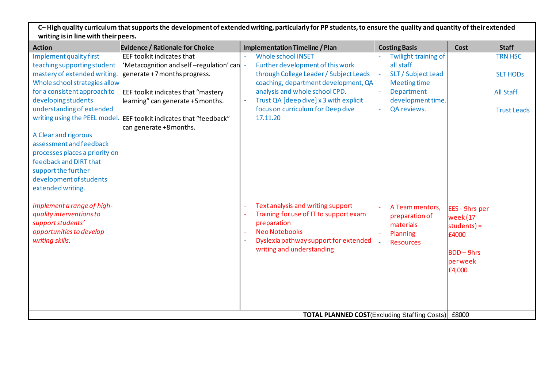**C– High quality curriculum that supports the development of extended writing, particularly for PP students, to ensure the quality and quantity of their extended writing is in line with their peers.**

| <b>Action</b>                  | <b>Evidence / Rationale for Choice</b>  | <b>Implementation Timeline / Plan</b>                              | <b>Costing Basis</b>                                 | <b>Cost</b>     | <b>Staff</b>       |
|--------------------------------|-----------------------------------------|--------------------------------------------------------------------|------------------------------------------------------|-----------------|--------------------|
| Implement quality first        | EEF toolkit indicates that              | <b>Whole school INSET</b>                                          | Twilight training of                                 |                 | <b>TRN HSC</b>     |
| teaching supporting student    | 'Metacognition and self-regulation' can | Further development of this work                                   | all staff                                            |                 |                    |
| mastery of extended writing.   | generate +7 months progress.            | through College Leader / Subject Leads                             | SLT / Subject Lead                                   |                 | <b>SLT HODS</b>    |
| Whole school strategies allow  |                                         | coaching, department development, QA                               | <b>Meeting time</b>                                  |                 |                    |
| for a consistent approach to   | EEF toolkit indicates that "mastery     | analysis and whole school CPD.                                     | Department                                           |                 | <b>All Staff</b>   |
| developing students            | learning" can generate +5 months.       | Trust QA [deep dive] x 3 with explicit<br>$\overline{\phantom{a}}$ | development time.                                    |                 |                    |
| understanding of extended      |                                         | focus on curriculum for Deep dive                                  | QA reviews.                                          |                 | <b>Trust Leads</b> |
| writing using the PEEL model.  | EEF toolkit indicates that "feedback"   | 17.11.20                                                           |                                                      |                 |                    |
|                                | can generate +8 months.                 |                                                                    |                                                      |                 |                    |
| A Clear and rigorous           |                                         |                                                                    |                                                      |                 |                    |
| assessment and feedback        |                                         |                                                                    |                                                      |                 |                    |
| processes places a priority on |                                         |                                                                    |                                                      |                 |                    |
| feedback and DIRT that         |                                         |                                                                    |                                                      |                 |                    |
| support the further            |                                         |                                                                    |                                                      |                 |                    |
| development of students        |                                         |                                                                    |                                                      |                 |                    |
| extended writing.              |                                         |                                                                    |                                                      |                 |                    |
|                                |                                         |                                                                    |                                                      |                 |                    |
| Implement a range of high-     |                                         | Text analysis and writing support                                  | A Team mentors,                                      | EES - 9hrs per  |                    |
| quality interventions to       |                                         | Training for use of IT to support exam                             | preparation of                                       | week (17        |                    |
| support students'              |                                         | preparation                                                        | materials                                            | students) =     |                    |
| opportunities to develop       |                                         | <b>Neo Notebooks</b>                                               | Planning                                             | £4000           |                    |
| writing skills.                |                                         | Dyslexia pathway support for extended                              | <b>Resources</b>                                     |                 |                    |
|                                |                                         | writing and understanding                                          |                                                      | <b>BDD-9hrs</b> |                    |
|                                |                                         |                                                                    |                                                      | perweek         |                    |
|                                |                                         |                                                                    |                                                      | £4,000          |                    |
|                                |                                         |                                                                    |                                                      |                 |                    |
|                                |                                         |                                                                    |                                                      |                 |                    |
|                                |                                         |                                                                    |                                                      |                 |                    |
|                                |                                         |                                                                    |                                                      |                 |                    |
|                                |                                         |                                                                    | <b>TOTAL PLANNED COST</b> (Excluding Staffing Costs) | £8000           |                    |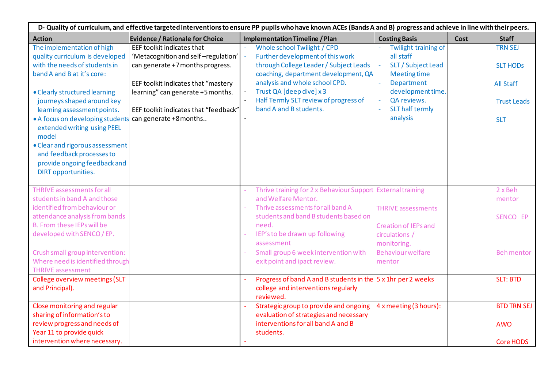| D- Quality of curriculum, and effective targeted interventions to ensure PP pupils who have known ACEs (Bands A and B) progress and achieve in line with their peers.                                                                                                                                                                                                                                                               |                                                                                                                                                                                                                                                      |                                                                                                                                                                                                                                                                                    |                                                                                                                                                                 |             |                                                                                           |  |  |  |  |
|-------------------------------------------------------------------------------------------------------------------------------------------------------------------------------------------------------------------------------------------------------------------------------------------------------------------------------------------------------------------------------------------------------------------------------------|------------------------------------------------------------------------------------------------------------------------------------------------------------------------------------------------------------------------------------------------------|------------------------------------------------------------------------------------------------------------------------------------------------------------------------------------------------------------------------------------------------------------------------------------|-----------------------------------------------------------------------------------------------------------------------------------------------------------------|-------------|-------------------------------------------------------------------------------------------|--|--|--|--|
| <b>Action</b>                                                                                                                                                                                                                                                                                                                                                                                                                       | <b>Evidence / Rationale for Choice</b>                                                                                                                                                                                                               | <b>Implementation Timeline / Plan</b>                                                                                                                                                                                                                                              | <b>Costing Basis</b>                                                                                                                                            | <b>Cost</b> | <b>Staff</b>                                                                              |  |  |  |  |
| The implementation of high<br>quality curriculum is developed<br>with the needs of students in<br>band A and B at it's core:<br>• Clearly structured learning<br>journeys shaped around key<br>learning assessment points.<br>• A focus on developing student<br>extended writing using PEEL<br>model<br>• Clear and rigorous assessment<br>and feedback processes to<br>provide ongoing feedback and<br><b>DIRT</b> opportunities. | EEF toolkit indicates that<br>'Metacognition and self-regulation'<br>can generate +7 months progress.<br>EEF toolkit indicates that "mastery<br>learning" can generate +5 months.<br>EEF toolkit indicates that "feedback"<br>can generate +8 months | Whole school Twilight / CPD<br>Further development of this work<br>through College Leader / Subject Leads<br>coaching, department development, QA<br>analysis and whole school CPD.<br>Trust QA [deep dive] x 3<br>Half Termly SLT review of progress of<br>band A and B students. | Twilight training of<br>all staff<br>SLT / Subject Lead<br><b>Meeting time</b><br>Department<br>development time.<br>QA reviews.<br>SLT half termly<br>analysis |             | <b>TRN SEJ</b><br><b>SLT HODS</b><br><b>All Staff</b><br><b>Trust Leads</b><br><b>SLT</b> |  |  |  |  |
| <b>THRIVE assessments for all</b><br>students in band A and those<br>identified from behaviour or<br>attendance analysis from bands<br>B. From these IEPs will be<br>developed with SENCO / EP.                                                                                                                                                                                                                                     |                                                                                                                                                                                                                                                      | Thrive training for 2 x Behaviour Support<br>and Welfare Mentor.<br>Thrive assessments for all band A<br>students and band B students based on<br>need.<br>IEP's to be drawn up following<br>assessment                                                                            | <b>External training</b><br><b>THRIVE assessments</b><br><b>Creation of IEPs and</b><br>circulations /<br>monitoring.                                           |             | 2 x Beh<br>mentor<br>SENCO EP                                                             |  |  |  |  |
| Crush small group intervention:<br>Where need is identified through<br><b>THRIVE assessment</b>                                                                                                                                                                                                                                                                                                                                     |                                                                                                                                                                                                                                                      | Small group 6 week intervention with<br>exit point and ipact review.                                                                                                                                                                                                               | <b>Behaviour welfare</b><br>mentor                                                                                                                              |             | <b>Behmentor</b>                                                                          |  |  |  |  |
| College overview meetings (SLT<br>and Principal).                                                                                                                                                                                                                                                                                                                                                                                   |                                                                                                                                                                                                                                                      | Progress of band A and B students in the 5 x 1hr per 2 weeks<br>college and interventions regularly<br>reviewed.                                                                                                                                                                   |                                                                                                                                                                 |             | <b>SLT: BTD</b>                                                                           |  |  |  |  |
| Close monitoring and regular<br>sharing of information's to<br>review progress and needs of<br>Year 11 to provide quick<br>intervention where necessary.                                                                                                                                                                                                                                                                            |                                                                                                                                                                                                                                                      | Strategic group to provide and ongoing<br>evaluation of strategies and necessary<br>interventions for all band A and B<br>students.                                                                                                                                                | 4 x meeting (3 hours):                                                                                                                                          |             | <b>BTD TRN SEJ</b><br><b>AWO</b><br><b>Core HODS</b>                                      |  |  |  |  |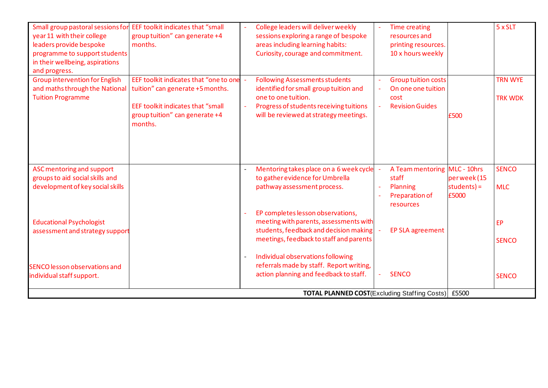| Small group pastoral sessions for<br>year 11 with their college<br>leaders provide bespoke<br>programme to support students<br>in their wellbeing, aspirations<br>and progress. | EEF toolkit indicates that "small<br>group tuition" can generate +4<br>months.                                                                                                                  |                          | College leaders will deliver weekly<br>sessions exploring a range of bespoke<br>areas including learning habits:<br>Curiosity, courage and commitment.                                      | <b>Time creating</b><br>resources and<br>printing resources.<br>10 x hours weekly  |                                     | 5 x SLT                          |
|---------------------------------------------------------------------------------------------------------------------------------------------------------------------------------|-------------------------------------------------------------------------------------------------------------------------------------------------------------------------------------------------|--------------------------|---------------------------------------------------------------------------------------------------------------------------------------------------------------------------------------------|------------------------------------------------------------------------------------|-------------------------------------|----------------------------------|
| <b>Group intervention for English</b><br><b>Tuition Programme</b>                                                                                                               | EEF toolkit indicates that "one to one -<br>and maths through the National   tuition" can generate +5 months.<br>EEF toolkit indicates that "small<br>group tuition" can generate +4<br>months. | $\Box$                   | <b>Following Assessments students</b><br>identified for small group tuition and<br>one to one tuition.<br>Progress of students receiving tuitions<br>will be reviewed at strategy meetings. | <b>Group tuition costs</b><br>On one one tuition<br>cost<br><b>Revision Guides</b> | £500                                | <b>TRN WYE</b><br><b>TRK WDK</b> |
| ASC mentoring and support<br>groups to aid social skills and<br>development of key social skills                                                                                |                                                                                                                                                                                                 |                          | Mentoring takes place on a 6 week cycle<br>to gather evidence for Umbrella<br>pathway assessment process.                                                                                   | A Team mentoring MLC - 10hrs<br>staff<br>Planning<br>Preparation of<br>resources   | perweek(15<br>$students$ =<br>£5000 | <b>SENCO</b><br><b>MLC</b>       |
| <b>Educational Psychologist</b><br>assessment and strategy support                                                                                                              |                                                                                                                                                                                                 | ÷.                       | EP completes lesson observations,<br>meeting with parents, assessments with<br>students, feedback and decision making<br>meetings, feedback to staff and parents                            | EP SLA agreement                                                                   |                                     | <b>EP</b><br><b>SENCO</b>        |
| <b>SENCO lesson observations and</b><br>individual staff support.                                                                                                               |                                                                                                                                                                                                 | $\overline{\phantom{a}}$ | Individual observations following<br>referrals made by staff. Report writing,<br>action planning and feedback to staff.<br><b>TOTAL PLANNED COST</b> (Excluding Staffing Costs) £5500       | <b>SENCO</b>                                                                       |                                     | <b>SENCO</b>                     |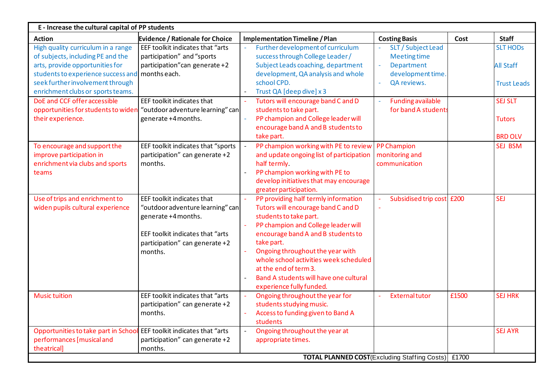| Evidence / Rationale for Choice<br><b>Action</b><br><b>Costing Basis</b><br>Cost<br><b>Staff</b><br><b>Implementation Timeline / Plan</b><br>High quality curriculum in a range<br>EEF toolkit indicates that "arts<br>Further development of curriculum<br>SLT / Subject Lead<br><b>SLT HODS</b><br>$\overline{\phantom{a}}$<br>of subjects, including PE and the<br>success through College Leader/<br>participation" and "sports<br><b>Meeting time</b><br>participation" can generate +2<br>Subject Leads coaching, department<br>arts, provide opportunities for<br>Department<br><b>All Staff</b><br>months each.<br>development, QA analysis and whole<br>development time.<br>students to experience success and<br>seek further involvement through<br>school CPD.<br>QA reviews.<br><b>Trust Leads</b><br>enrichment clubs or sports teams.<br>Trust QA [deep dive] x 3<br>DoE and CCF offer accessible<br>Tutors will encourage band C and D<br>EEF toolkit indicates that<br><b>Funding available</b><br><b>SEJ SLT</b><br>students to take part.<br>for band A students<br>opportunities for students to widen<br>"outdoor adventure learning" can<br>PP champion and College leader will<br>their experience.<br>generate +4 months.<br><b>Tutors</b><br>encourage band A and B students to<br>take part.<br><b>BRD OLV</b><br>PP champion working with PE to review<br><b>SEJ BSM</b><br>To encourage and support the<br>EEF toolkit indicates that "sports<br><b>PP Champion</b><br>participation" can generate +2<br>improve participation in<br>and update ongoing list of participation<br>monitoring and<br>enrichment via clubs and sports<br>communication<br>months.<br>half termly.<br>PP champion working with PE to<br>teams<br>develop initiatives that may encourage<br>greater participation.<br>Use of trips and enrichment to<br>PP providing half termly information<br>Subsidised trip cost £200<br><b>SEJ</b><br>EEF toolkit indicates that<br>Tutors will encourage band C and D<br>widen pupils cultural experience<br>"outdoor adventure learning" can<br>students to take part.<br>generate +4 months.<br>PP champion and College leader will<br>encourage band A and B students to<br>EEF toolkit indicates that "arts<br>take part.<br>participation" can generate +2<br>Ongoing throughout the year with<br>months.<br>whole school activities week scheduled<br>at the end of term 3.<br>Band A students will have one cultural<br>experience fully funded.<br>EEF toolkit indicates that "arts<br>Ongoing throughout the year for<br><b>SEJ HRK</b><br>£1500<br><b>Music tuition</b><br><b>Externaltutor</b><br>students studying music.<br>participation" can generate +2<br>Access to funding given to Band A<br>months.<br>students<br>Opportunities to take part in School EEF toolkit indicates that "arts<br>Ongoing throughout the year at<br><b>SEJ AYR</b><br>performances [musical and<br>participation" can generate +2<br>appropriate times.<br>theatrical]<br>months.<br><b>TOTAL PLANNED COST</b> (Excluding Staffing Costs) £1700 | E - Increase the cultural capital of PP students |  |  |  |  |  |  |  |  |  |  |
|---------------------------------------------------------------------------------------------------------------------------------------------------------------------------------------------------------------------------------------------------------------------------------------------------------------------------------------------------------------------------------------------------------------------------------------------------------------------------------------------------------------------------------------------------------------------------------------------------------------------------------------------------------------------------------------------------------------------------------------------------------------------------------------------------------------------------------------------------------------------------------------------------------------------------------------------------------------------------------------------------------------------------------------------------------------------------------------------------------------------------------------------------------------------------------------------------------------------------------------------------------------------------------------------------------------------------------------------------------------------------------------------------------------------------------------------------------------------------------------------------------------------------------------------------------------------------------------------------------------------------------------------------------------------------------------------------------------------------------------------------------------------------------------------------------------------------------------------------------------------------------------------------------------------------------------------------------------------------------------------------------------------------------------------------------------------------------------------------------------------------------------------------------------------------------------------------------------------------------------------------------------------------------------------------------------------------------------------------------------------------------------------------------------------------------------------------------------------------------------------------------------------------------------------------------------------------------------------------------------------------------------------------------------------------------------------------------------------------------------------------------------------------------------------------------------------------------------------------------------------------------------------------------------------------------------------------------------------------------------------------------------------------------------------------------------------------------------------|--------------------------------------------------|--|--|--|--|--|--|--|--|--|--|
|                                                                                                                                                                                                                                                                                                                                                                                                                                                                                                                                                                                                                                                                                                                                                                                                                                                                                                                                                                                                                                                                                                                                                                                                                                                                                                                                                                                                                                                                                                                                                                                                                                                                                                                                                                                                                                                                                                                                                                                                                                                                                                                                                                                                                                                                                                                                                                                                                                                                                                                                                                                                                                                                                                                                                                                                                                                                                                                                                                                                                                                                                             |                                                  |  |  |  |  |  |  |  |  |  |  |
|                                                                                                                                                                                                                                                                                                                                                                                                                                                                                                                                                                                                                                                                                                                                                                                                                                                                                                                                                                                                                                                                                                                                                                                                                                                                                                                                                                                                                                                                                                                                                                                                                                                                                                                                                                                                                                                                                                                                                                                                                                                                                                                                                                                                                                                                                                                                                                                                                                                                                                                                                                                                                                                                                                                                                                                                                                                                                                                                                                                                                                                                                             |                                                  |  |  |  |  |  |  |  |  |  |  |
|                                                                                                                                                                                                                                                                                                                                                                                                                                                                                                                                                                                                                                                                                                                                                                                                                                                                                                                                                                                                                                                                                                                                                                                                                                                                                                                                                                                                                                                                                                                                                                                                                                                                                                                                                                                                                                                                                                                                                                                                                                                                                                                                                                                                                                                                                                                                                                                                                                                                                                                                                                                                                                                                                                                                                                                                                                                                                                                                                                                                                                                                                             |                                                  |  |  |  |  |  |  |  |  |  |  |
|                                                                                                                                                                                                                                                                                                                                                                                                                                                                                                                                                                                                                                                                                                                                                                                                                                                                                                                                                                                                                                                                                                                                                                                                                                                                                                                                                                                                                                                                                                                                                                                                                                                                                                                                                                                                                                                                                                                                                                                                                                                                                                                                                                                                                                                                                                                                                                                                                                                                                                                                                                                                                                                                                                                                                                                                                                                                                                                                                                                                                                                                                             |                                                  |  |  |  |  |  |  |  |  |  |  |
|                                                                                                                                                                                                                                                                                                                                                                                                                                                                                                                                                                                                                                                                                                                                                                                                                                                                                                                                                                                                                                                                                                                                                                                                                                                                                                                                                                                                                                                                                                                                                                                                                                                                                                                                                                                                                                                                                                                                                                                                                                                                                                                                                                                                                                                                                                                                                                                                                                                                                                                                                                                                                                                                                                                                                                                                                                                                                                                                                                                                                                                                                             |                                                  |  |  |  |  |  |  |  |  |  |  |
|                                                                                                                                                                                                                                                                                                                                                                                                                                                                                                                                                                                                                                                                                                                                                                                                                                                                                                                                                                                                                                                                                                                                                                                                                                                                                                                                                                                                                                                                                                                                                                                                                                                                                                                                                                                                                                                                                                                                                                                                                                                                                                                                                                                                                                                                                                                                                                                                                                                                                                                                                                                                                                                                                                                                                                                                                                                                                                                                                                                                                                                                                             |                                                  |  |  |  |  |  |  |  |  |  |  |
|                                                                                                                                                                                                                                                                                                                                                                                                                                                                                                                                                                                                                                                                                                                                                                                                                                                                                                                                                                                                                                                                                                                                                                                                                                                                                                                                                                                                                                                                                                                                                                                                                                                                                                                                                                                                                                                                                                                                                                                                                                                                                                                                                                                                                                                                                                                                                                                                                                                                                                                                                                                                                                                                                                                                                                                                                                                                                                                                                                                                                                                                                             |                                                  |  |  |  |  |  |  |  |  |  |  |
|                                                                                                                                                                                                                                                                                                                                                                                                                                                                                                                                                                                                                                                                                                                                                                                                                                                                                                                                                                                                                                                                                                                                                                                                                                                                                                                                                                                                                                                                                                                                                                                                                                                                                                                                                                                                                                                                                                                                                                                                                                                                                                                                                                                                                                                                                                                                                                                                                                                                                                                                                                                                                                                                                                                                                                                                                                                                                                                                                                                                                                                                                             |                                                  |  |  |  |  |  |  |  |  |  |  |
|                                                                                                                                                                                                                                                                                                                                                                                                                                                                                                                                                                                                                                                                                                                                                                                                                                                                                                                                                                                                                                                                                                                                                                                                                                                                                                                                                                                                                                                                                                                                                                                                                                                                                                                                                                                                                                                                                                                                                                                                                                                                                                                                                                                                                                                                                                                                                                                                                                                                                                                                                                                                                                                                                                                                                                                                                                                                                                                                                                                                                                                                                             |                                                  |  |  |  |  |  |  |  |  |  |  |
|                                                                                                                                                                                                                                                                                                                                                                                                                                                                                                                                                                                                                                                                                                                                                                                                                                                                                                                                                                                                                                                                                                                                                                                                                                                                                                                                                                                                                                                                                                                                                                                                                                                                                                                                                                                                                                                                                                                                                                                                                                                                                                                                                                                                                                                                                                                                                                                                                                                                                                                                                                                                                                                                                                                                                                                                                                                                                                                                                                                                                                                                                             |                                                  |  |  |  |  |  |  |  |  |  |  |
|                                                                                                                                                                                                                                                                                                                                                                                                                                                                                                                                                                                                                                                                                                                                                                                                                                                                                                                                                                                                                                                                                                                                                                                                                                                                                                                                                                                                                                                                                                                                                                                                                                                                                                                                                                                                                                                                                                                                                                                                                                                                                                                                                                                                                                                                                                                                                                                                                                                                                                                                                                                                                                                                                                                                                                                                                                                                                                                                                                                                                                                                                             |                                                  |  |  |  |  |  |  |  |  |  |  |
|                                                                                                                                                                                                                                                                                                                                                                                                                                                                                                                                                                                                                                                                                                                                                                                                                                                                                                                                                                                                                                                                                                                                                                                                                                                                                                                                                                                                                                                                                                                                                                                                                                                                                                                                                                                                                                                                                                                                                                                                                                                                                                                                                                                                                                                                                                                                                                                                                                                                                                                                                                                                                                                                                                                                                                                                                                                                                                                                                                                                                                                                                             |                                                  |  |  |  |  |  |  |  |  |  |  |
|                                                                                                                                                                                                                                                                                                                                                                                                                                                                                                                                                                                                                                                                                                                                                                                                                                                                                                                                                                                                                                                                                                                                                                                                                                                                                                                                                                                                                                                                                                                                                                                                                                                                                                                                                                                                                                                                                                                                                                                                                                                                                                                                                                                                                                                                                                                                                                                                                                                                                                                                                                                                                                                                                                                                                                                                                                                                                                                                                                                                                                                                                             |                                                  |  |  |  |  |  |  |  |  |  |  |
|                                                                                                                                                                                                                                                                                                                                                                                                                                                                                                                                                                                                                                                                                                                                                                                                                                                                                                                                                                                                                                                                                                                                                                                                                                                                                                                                                                                                                                                                                                                                                                                                                                                                                                                                                                                                                                                                                                                                                                                                                                                                                                                                                                                                                                                                                                                                                                                                                                                                                                                                                                                                                                                                                                                                                                                                                                                                                                                                                                                                                                                                                             |                                                  |  |  |  |  |  |  |  |  |  |  |
|                                                                                                                                                                                                                                                                                                                                                                                                                                                                                                                                                                                                                                                                                                                                                                                                                                                                                                                                                                                                                                                                                                                                                                                                                                                                                                                                                                                                                                                                                                                                                                                                                                                                                                                                                                                                                                                                                                                                                                                                                                                                                                                                                                                                                                                                                                                                                                                                                                                                                                                                                                                                                                                                                                                                                                                                                                                                                                                                                                                                                                                                                             |                                                  |  |  |  |  |  |  |  |  |  |  |
|                                                                                                                                                                                                                                                                                                                                                                                                                                                                                                                                                                                                                                                                                                                                                                                                                                                                                                                                                                                                                                                                                                                                                                                                                                                                                                                                                                                                                                                                                                                                                                                                                                                                                                                                                                                                                                                                                                                                                                                                                                                                                                                                                                                                                                                                                                                                                                                                                                                                                                                                                                                                                                                                                                                                                                                                                                                                                                                                                                                                                                                                                             |                                                  |  |  |  |  |  |  |  |  |  |  |
|                                                                                                                                                                                                                                                                                                                                                                                                                                                                                                                                                                                                                                                                                                                                                                                                                                                                                                                                                                                                                                                                                                                                                                                                                                                                                                                                                                                                                                                                                                                                                                                                                                                                                                                                                                                                                                                                                                                                                                                                                                                                                                                                                                                                                                                                                                                                                                                                                                                                                                                                                                                                                                                                                                                                                                                                                                                                                                                                                                                                                                                                                             |                                                  |  |  |  |  |  |  |  |  |  |  |
|                                                                                                                                                                                                                                                                                                                                                                                                                                                                                                                                                                                                                                                                                                                                                                                                                                                                                                                                                                                                                                                                                                                                                                                                                                                                                                                                                                                                                                                                                                                                                                                                                                                                                                                                                                                                                                                                                                                                                                                                                                                                                                                                                                                                                                                                                                                                                                                                                                                                                                                                                                                                                                                                                                                                                                                                                                                                                                                                                                                                                                                                                             |                                                  |  |  |  |  |  |  |  |  |  |  |
|                                                                                                                                                                                                                                                                                                                                                                                                                                                                                                                                                                                                                                                                                                                                                                                                                                                                                                                                                                                                                                                                                                                                                                                                                                                                                                                                                                                                                                                                                                                                                                                                                                                                                                                                                                                                                                                                                                                                                                                                                                                                                                                                                                                                                                                                                                                                                                                                                                                                                                                                                                                                                                                                                                                                                                                                                                                                                                                                                                                                                                                                                             |                                                  |  |  |  |  |  |  |  |  |  |  |
|                                                                                                                                                                                                                                                                                                                                                                                                                                                                                                                                                                                                                                                                                                                                                                                                                                                                                                                                                                                                                                                                                                                                                                                                                                                                                                                                                                                                                                                                                                                                                                                                                                                                                                                                                                                                                                                                                                                                                                                                                                                                                                                                                                                                                                                                                                                                                                                                                                                                                                                                                                                                                                                                                                                                                                                                                                                                                                                                                                                                                                                                                             |                                                  |  |  |  |  |  |  |  |  |  |  |
|                                                                                                                                                                                                                                                                                                                                                                                                                                                                                                                                                                                                                                                                                                                                                                                                                                                                                                                                                                                                                                                                                                                                                                                                                                                                                                                                                                                                                                                                                                                                                                                                                                                                                                                                                                                                                                                                                                                                                                                                                                                                                                                                                                                                                                                                                                                                                                                                                                                                                                                                                                                                                                                                                                                                                                                                                                                                                                                                                                                                                                                                                             |                                                  |  |  |  |  |  |  |  |  |  |  |
|                                                                                                                                                                                                                                                                                                                                                                                                                                                                                                                                                                                                                                                                                                                                                                                                                                                                                                                                                                                                                                                                                                                                                                                                                                                                                                                                                                                                                                                                                                                                                                                                                                                                                                                                                                                                                                                                                                                                                                                                                                                                                                                                                                                                                                                                                                                                                                                                                                                                                                                                                                                                                                                                                                                                                                                                                                                                                                                                                                                                                                                                                             |                                                  |  |  |  |  |  |  |  |  |  |  |
|                                                                                                                                                                                                                                                                                                                                                                                                                                                                                                                                                                                                                                                                                                                                                                                                                                                                                                                                                                                                                                                                                                                                                                                                                                                                                                                                                                                                                                                                                                                                                                                                                                                                                                                                                                                                                                                                                                                                                                                                                                                                                                                                                                                                                                                                                                                                                                                                                                                                                                                                                                                                                                                                                                                                                                                                                                                                                                                                                                                                                                                                                             |                                                  |  |  |  |  |  |  |  |  |  |  |
|                                                                                                                                                                                                                                                                                                                                                                                                                                                                                                                                                                                                                                                                                                                                                                                                                                                                                                                                                                                                                                                                                                                                                                                                                                                                                                                                                                                                                                                                                                                                                                                                                                                                                                                                                                                                                                                                                                                                                                                                                                                                                                                                                                                                                                                                                                                                                                                                                                                                                                                                                                                                                                                                                                                                                                                                                                                                                                                                                                                                                                                                                             |                                                  |  |  |  |  |  |  |  |  |  |  |
|                                                                                                                                                                                                                                                                                                                                                                                                                                                                                                                                                                                                                                                                                                                                                                                                                                                                                                                                                                                                                                                                                                                                                                                                                                                                                                                                                                                                                                                                                                                                                                                                                                                                                                                                                                                                                                                                                                                                                                                                                                                                                                                                                                                                                                                                                                                                                                                                                                                                                                                                                                                                                                                                                                                                                                                                                                                                                                                                                                                                                                                                                             |                                                  |  |  |  |  |  |  |  |  |  |  |
|                                                                                                                                                                                                                                                                                                                                                                                                                                                                                                                                                                                                                                                                                                                                                                                                                                                                                                                                                                                                                                                                                                                                                                                                                                                                                                                                                                                                                                                                                                                                                                                                                                                                                                                                                                                                                                                                                                                                                                                                                                                                                                                                                                                                                                                                                                                                                                                                                                                                                                                                                                                                                                                                                                                                                                                                                                                                                                                                                                                                                                                                                             |                                                  |  |  |  |  |  |  |  |  |  |  |
|                                                                                                                                                                                                                                                                                                                                                                                                                                                                                                                                                                                                                                                                                                                                                                                                                                                                                                                                                                                                                                                                                                                                                                                                                                                                                                                                                                                                                                                                                                                                                                                                                                                                                                                                                                                                                                                                                                                                                                                                                                                                                                                                                                                                                                                                                                                                                                                                                                                                                                                                                                                                                                                                                                                                                                                                                                                                                                                                                                                                                                                                                             |                                                  |  |  |  |  |  |  |  |  |  |  |
|                                                                                                                                                                                                                                                                                                                                                                                                                                                                                                                                                                                                                                                                                                                                                                                                                                                                                                                                                                                                                                                                                                                                                                                                                                                                                                                                                                                                                                                                                                                                                                                                                                                                                                                                                                                                                                                                                                                                                                                                                                                                                                                                                                                                                                                                                                                                                                                                                                                                                                                                                                                                                                                                                                                                                                                                                                                                                                                                                                                                                                                                                             |                                                  |  |  |  |  |  |  |  |  |  |  |
|                                                                                                                                                                                                                                                                                                                                                                                                                                                                                                                                                                                                                                                                                                                                                                                                                                                                                                                                                                                                                                                                                                                                                                                                                                                                                                                                                                                                                                                                                                                                                                                                                                                                                                                                                                                                                                                                                                                                                                                                                                                                                                                                                                                                                                                                                                                                                                                                                                                                                                                                                                                                                                                                                                                                                                                                                                                                                                                                                                                                                                                                                             |                                                  |  |  |  |  |  |  |  |  |  |  |
|                                                                                                                                                                                                                                                                                                                                                                                                                                                                                                                                                                                                                                                                                                                                                                                                                                                                                                                                                                                                                                                                                                                                                                                                                                                                                                                                                                                                                                                                                                                                                                                                                                                                                                                                                                                                                                                                                                                                                                                                                                                                                                                                                                                                                                                                                                                                                                                                                                                                                                                                                                                                                                                                                                                                                                                                                                                                                                                                                                                                                                                                                             |                                                  |  |  |  |  |  |  |  |  |  |  |
|                                                                                                                                                                                                                                                                                                                                                                                                                                                                                                                                                                                                                                                                                                                                                                                                                                                                                                                                                                                                                                                                                                                                                                                                                                                                                                                                                                                                                                                                                                                                                                                                                                                                                                                                                                                                                                                                                                                                                                                                                                                                                                                                                                                                                                                                                                                                                                                                                                                                                                                                                                                                                                                                                                                                                                                                                                                                                                                                                                                                                                                                                             |                                                  |  |  |  |  |  |  |  |  |  |  |
|                                                                                                                                                                                                                                                                                                                                                                                                                                                                                                                                                                                                                                                                                                                                                                                                                                                                                                                                                                                                                                                                                                                                                                                                                                                                                                                                                                                                                                                                                                                                                                                                                                                                                                                                                                                                                                                                                                                                                                                                                                                                                                                                                                                                                                                                                                                                                                                                                                                                                                                                                                                                                                                                                                                                                                                                                                                                                                                                                                                                                                                                                             |                                                  |  |  |  |  |  |  |  |  |  |  |
|                                                                                                                                                                                                                                                                                                                                                                                                                                                                                                                                                                                                                                                                                                                                                                                                                                                                                                                                                                                                                                                                                                                                                                                                                                                                                                                                                                                                                                                                                                                                                                                                                                                                                                                                                                                                                                                                                                                                                                                                                                                                                                                                                                                                                                                                                                                                                                                                                                                                                                                                                                                                                                                                                                                                                                                                                                                                                                                                                                                                                                                                                             |                                                  |  |  |  |  |  |  |  |  |  |  |
|                                                                                                                                                                                                                                                                                                                                                                                                                                                                                                                                                                                                                                                                                                                                                                                                                                                                                                                                                                                                                                                                                                                                                                                                                                                                                                                                                                                                                                                                                                                                                                                                                                                                                                                                                                                                                                                                                                                                                                                                                                                                                                                                                                                                                                                                                                                                                                                                                                                                                                                                                                                                                                                                                                                                                                                                                                                                                                                                                                                                                                                                                             |                                                  |  |  |  |  |  |  |  |  |  |  |
|                                                                                                                                                                                                                                                                                                                                                                                                                                                                                                                                                                                                                                                                                                                                                                                                                                                                                                                                                                                                                                                                                                                                                                                                                                                                                                                                                                                                                                                                                                                                                                                                                                                                                                                                                                                                                                                                                                                                                                                                                                                                                                                                                                                                                                                                                                                                                                                                                                                                                                                                                                                                                                                                                                                                                                                                                                                                                                                                                                                                                                                                                             |                                                  |  |  |  |  |  |  |  |  |  |  |
|                                                                                                                                                                                                                                                                                                                                                                                                                                                                                                                                                                                                                                                                                                                                                                                                                                                                                                                                                                                                                                                                                                                                                                                                                                                                                                                                                                                                                                                                                                                                                                                                                                                                                                                                                                                                                                                                                                                                                                                                                                                                                                                                                                                                                                                                                                                                                                                                                                                                                                                                                                                                                                                                                                                                                                                                                                                                                                                                                                                                                                                                                             |                                                  |  |  |  |  |  |  |  |  |  |  |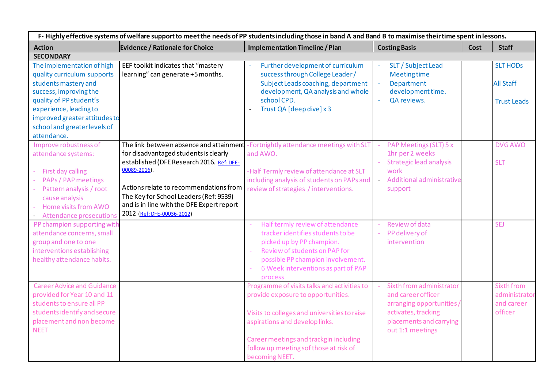| F-Highly effective systems of welfare support to meet the needs of PP students including those in band A and Band B to maximise their time spent in lessons. |                                           |                                                                                   |                                             |             |                    |  |
|--------------------------------------------------------------------------------------------------------------------------------------------------------------|-------------------------------------------|-----------------------------------------------------------------------------------|---------------------------------------------|-------------|--------------------|--|
| <b>Action</b>                                                                                                                                                | <b>Evidence / Rationale for Choice</b>    | <b>Implementation Timeline / Plan</b>                                             | <b>Costing Basis</b>                        | <b>Cost</b> | <b>Staff</b>       |  |
| <b>SECONDARY</b>                                                                                                                                             |                                           |                                                                                   |                                             |             |                    |  |
| The implementation of high                                                                                                                                   | EEF toolkit indicates that "mastery       | Further development of curriculum                                                 | SLT / Subject Lead                          |             | <b>SLT HODS</b>    |  |
| quality curriculum supports                                                                                                                                  | learning" can generate +5 months.         | success through College Leader/                                                   | <b>Meeting time</b>                         |             |                    |  |
| students mastery and                                                                                                                                         |                                           | Subject Leads coaching, department                                                | Department                                  |             | <b>All Staff</b>   |  |
| success, improving the                                                                                                                                       |                                           | development, QA analysis and whole                                                | development time.                           |             |                    |  |
| quality of PP student's                                                                                                                                      |                                           | school CPD.                                                                       | QA reviews.                                 |             | <b>Trust Leads</b> |  |
| experience, leading to                                                                                                                                       |                                           | Trust QA [deep dive] x 3                                                          |                                             |             |                    |  |
| improved greater attitudes to                                                                                                                                |                                           |                                                                                   |                                             |             |                    |  |
| school and greater levels of                                                                                                                                 |                                           |                                                                                   |                                             |             |                    |  |
| attendance.                                                                                                                                                  |                                           |                                                                                   |                                             |             |                    |  |
| Improve robustness of                                                                                                                                        |                                           | The link between absence and attainment -Fortnightly attendance meetings with SLT | PAP Meetings (SLT) 5 x                      |             | <b>DVG AWO</b>     |  |
| attendance systems:                                                                                                                                          | for disadvantaged students is clearly     | and AWO.                                                                          | 1hr per 2 weeks                             |             |                    |  |
|                                                                                                                                                              | established (DFE Research 2016. Ref: DFE- |                                                                                   | <b>Strategic lead analysis</b>              |             | <b>SLT</b>         |  |
| First day calling<br>$\sim$                                                                                                                                  | $00089 - 2016$ ).                         | -Half Termly review of attendance at SLT                                          | work                                        |             |                    |  |
| <b>PAPs / PAP meetings</b>                                                                                                                                   |                                           | including analysis of students on PAPs and                                        | Additional administrative                   |             |                    |  |
| Pattern analysis / root                                                                                                                                      | Actions relate to recommendations from    | review of strategies / interventions.                                             | support                                     |             |                    |  |
| cause analysis                                                                                                                                               | The Key for School Leaders (Ref: 9539)    |                                                                                   |                                             |             |                    |  |
| Home visits from AWO                                                                                                                                         | and is in line with the DFE Expert report |                                                                                   |                                             |             |                    |  |
| - Attendance prosecutions                                                                                                                                    | 2012 (Ref: DFE-00036-2012)                |                                                                                   |                                             |             |                    |  |
| PP champion supporting with                                                                                                                                  |                                           | Half termly review of attendance                                                  | Review of data                              |             | <b>SEJ</b>         |  |
| attendance concerns, small                                                                                                                                   |                                           | tracker identifies students to be                                                 | PP delivery of                              |             |                    |  |
| group and one to one                                                                                                                                         |                                           | picked up by PP champion.                                                         | intervention                                |             |                    |  |
| interventions establishing                                                                                                                                   |                                           | Review of students on PAP for<br>÷,                                               |                                             |             |                    |  |
| healthy attendance habits.                                                                                                                                   |                                           | possible PP champion involvement.                                                 |                                             |             |                    |  |
|                                                                                                                                                              |                                           | 6 Week interventions as part of PAP<br>÷,                                         |                                             |             |                    |  |
|                                                                                                                                                              |                                           | process                                                                           |                                             |             |                    |  |
| <b>Career Advice and Guidance</b>                                                                                                                            |                                           | Programme of visits talks and activities to                                       | Sixth from administrator                    |             | <b>Sixth from</b>  |  |
| provided for Year 10 and 11                                                                                                                                  |                                           | provide exposure to opportunities.                                                | and career officer                          |             | administrator      |  |
| students to ensure all PP                                                                                                                                    |                                           |                                                                                   | arranging opportunities /                   |             | and career         |  |
| students identify and secure<br>placement and non become                                                                                                     |                                           | Visits to colleges and universities to raise                                      | activates, tracking                         |             | officer            |  |
| <b>NEET</b>                                                                                                                                                  |                                           | aspirations and develop links.                                                    | placements and carrying<br>out 1:1 meetings |             |                    |  |
|                                                                                                                                                              |                                           |                                                                                   |                                             |             |                    |  |
|                                                                                                                                                              |                                           | Career meetings and trackgin including                                            |                                             |             |                    |  |
|                                                                                                                                                              |                                           | follow up meeting sof those at risk of                                            |                                             |             |                    |  |
|                                                                                                                                                              |                                           | becoming NEET.                                                                    |                                             |             |                    |  |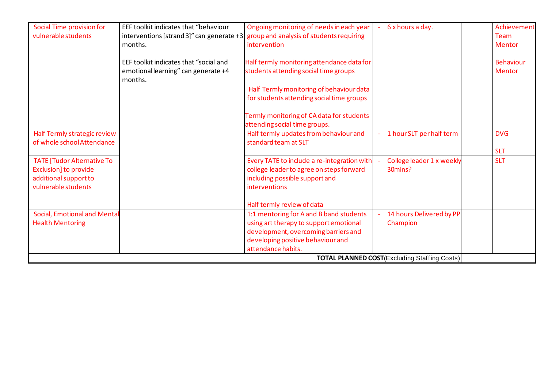| Social Time provision for           | EEF toolkit indicates that "behaviour  | Ongoing monitoring of needs in each year                                               | 6 x hours a day.                                     | Achievement      |
|-------------------------------------|----------------------------------------|----------------------------------------------------------------------------------------|------------------------------------------------------|------------------|
| vulnerable students                 |                                        | interventions [strand 3]" can generate +3 $ $ group and analysis of students requiring |                                                      | Team             |
|                                     | months.                                | intervention                                                                           |                                                      | <b>Mentor</b>    |
|                                     | EEF toolkit indicates that "social and | Half termly monitoring attendance data for                                             |                                                      | <b>Behaviour</b> |
|                                     | emotional learning" can generate +4    | students attending social time groups                                                  |                                                      | <b>Mentor</b>    |
|                                     | months.                                |                                                                                        |                                                      |                  |
|                                     |                                        | Half Termly monitoring of behaviour data                                               |                                                      |                  |
|                                     |                                        | for students attending social time groups                                              |                                                      |                  |
|                                     |                                        |                                                                                        |                                                      |                  |
|                                     |                                        | Termly monitoring of CA data for students                                              |                                                      |                  |
|                                     |                                        | attending social time groups.                                                          |                                                      |                  |
| Half Termly strategic review        |                                        | Half termly updates from behaviour and                                                 | 1 hour SLT per half term                             | <b>DVG</b>       |
| of whole school Attendance          |                                        | standard team at SLT                                                                   |                                                      |                  |
|                                     |                                        |                                                                                        |                                                      | <b>SLT</b>       |
| <b>TATE [Tudor Alternative To</b>   |                                        | Every TATE to include a re-integration with                                            | College leader 1 x weekly                            | <b>SLT</b>       |
| Exclusion] to provide               |                                        | college leader to agree on steps forward                                               | 30mins?                                              |                  |
| additional support to               |                                        | including possible support and                                                         |                                                      |                  |
| vulnerable students                 |                                        | interventions                                                                          |                                                      |                  |
|                                     |                                        | Half termly review of data                                                             |                                                      |                  |
| <b>Social, Emotional and Mental</b> |                                        | 1:1 mentoring for A and B band students                                                | 14 hours Delivered by PP                             |                  |
| <b>Health Mentoring</b>             |                                        | using art therapy to support emotional                                                 | Champion                                             |                  |
|                                     |                                        | development, overcoming barriers and                                                   |                                                      |                  |
|                                     |                                        | developing positive behaviour and                                                      |                                                      |                  |
|                                     |                                        | attendance habits.                                                                     |                                                      |                  |
|                                     |                                        |                                                                                        | <b>TOTAL PLANNED COST</b> (Excluding Staffing Costs) |                  |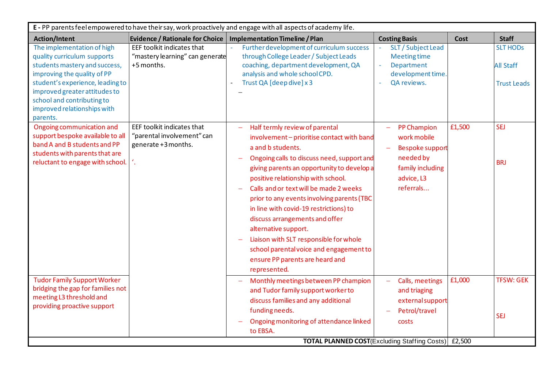| <b>Action/Intent</b><br>The implementation of high                                                                                                                                                                                        | <b>Evidence / Rationale for Choice</b>                                                | <b>Implementation Timeline / Plan</b>                                                                                                                                                                                                                                                                                                                                                                                                                                                                                                                                   |                                                                                                                                              |        |                                                           |
|-------------------------------------------------------------------------------------------------------------------------------------------------------------------------------------------------------------------------------------------|---------------------------------------------------------------------------------------|-------------------------------------------------------------------------------------------------------------------------------------------------------------------------------------------------------------------------------------------------------------------------------------------------------------------------------------------------------------------------------------------------------------------------------------------------------------------------------------------------------------------------------------------------------------------------|----------------------------------------------------------------------------------------------------------------------------------------------|--------|-----------------------------------------------------------|
|                                                                                                                                                                                                                                           |                                                                                       |                                                                                                                                                                                                                                                                                                                                                                                                                                                                                                                                                                         | <b>Costing Basis</b>                                                                                                                         | Cost   | <b>Staff</b>                                              |
| quality curriculum supports<br>students mastery and success,<br>improving the quality of PP<br>student's experience, leading to<br>improved greater attitudes to<br>school and contributing to<br>improved relationships with<br>parents. | EEF toolkit indicates that<br>"mastery learning" can generate<br>+5 months.           | Further development of curriculum success<br>through College Leader / Subject Leads<br>coaching, department development, QA<br>analysis and whole school CPD.<br>Trust QA [deep dive] x 3                                                                                                                                                                                                                                                                                                                                                                               | SLT / Subject Lead<br><b>Meeting time</b><br>Department<br>development time.<br>QA reviews.                                                  |        | <b>SLT HODS</b><br><b>All Staff</b><br><b>Trust Leads</b> |
| Ongoing communication and<br>support bespoke available to all<br>band A and B students and PP<br>students with parents that are<br>reluctant to engage with school.                                                                       | EEF toolkit indicates that<br>"parental involvement" can<br>generate +3 months.<br>1. | Half termly review of parental<br>involvement - prioritise contact with band<br>a and b students.<br>Ongoing calls to discuss need, support and<br>giving parents an opportunity to develop a<br>positive relationship with school.<br>Calls and or text will be made 2 weeks<br>prior to any events involving parents (TBC<br>in line with covid-19 restrictions) to<br>discuss arrangements and offer<br>alternative support.<br>Liaison with SLT responsible for whole<br>school parental voice and engagement to<br>ensure PP parents are heard and<br>represented. | <b>PP Champion</b><br>work mobile<br><b>Bespoke support</b><br>needed by<br>family including<br>advice, L3<br>referrals                      | £1,500 | <b>SEJ</b><br><b>BRJ</b>                                  |
| <b>Tudor Family Support Worker</b><br>bridging the gap for families not<br>meeting L3 threshold and<br>providing proactive support                                                                                                        |                                                                                       | Monthly meetings between PP champion<br>and Tudor family support worker to<br>discuss families and any additional<br>funding needs.<br>Ongoing monitoring of attendance linked<br>to EBSA.                                                                                                                                                                                                                                                                                                                                                                              | Calls, meetings<br>and triaging<br>external support<br>Petrol/travel<br>costs<br><b>TOTAL PLANNED COST</b> (Excluding Staffing Costs) £2,500 | £1,000 | <b>TFSW: GEK</b><br><b>SEJ</b>                            |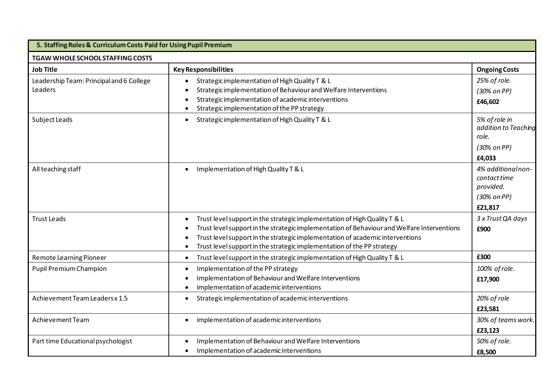| 5. Staffing Roles & Curriculum Costs Paid for Using Pupil Premium |                                                                                                                                                                                                                                                                                                                                                              |                                                                           |  |  |  |  |  |
|-------------------------------------------------------------------|--------------------------------------------------------------------------------------------------------------------------------------------------------------------------------------------------------------------------------------------------------------------------------------------------------------------------------------------------------------|---------------------------------------------------------------------------|--|--|--|--|--|
| TGAW WHOLE SCHOOL STAFFING COSTS                                  |                                                                                                                                                                                                                                                                                                                                                              |                                                                           |  |  |  |  |  |
| <b>Job Title</b>                                                  | <b>Key Responsibilities</b>                                                                                                                                                                                                                                                                                                                                  | <b>Ongoing Costs</b>                                                      |  |  |  |  |  |
| Leadership Team: Principal and 6 College<br>Leaders               | Strategic implementation of High Quality T & L<br>Strategic implementation of Behaviour and Welfare Interventions<br>Strategic implementation of academic interventions<br>Strategic implementation of the PP strategy                                                                                                                                       | 25% of role.<br>(30% on PP)<br>£46,602                                    |  |  |  |  |  |
| Subject Leads                                                     | Strategic implementation of High Quality T & L<br>$\bullet$                                                                                                                                                                                                                                                                                                  | 5% of role in<br>addition to Teaching<br>role.<br>(30% on PP)<br>£4,033   |  |  |  |  |  |
| All teaching staff                                                | Implementation of High Quality T & L<br>$\bullet$                                                                                                                                                                                                                                                                                                            | 4% additional non-<br>contact time<br>provided.<br>(30% on PP)<br>£21,817 |  |  |  |  |  |
| <b>Trust Leads</b>                                                | Trust level support in the strategic implementation of High Quality T & L<br>$\bullet$<br>Trust level support in the strategic implementation of Behaviour and Welfare Interventions<br>Trust level support in the strategic implementation of academic interventions<br>$\bullet$<br>Trust level support in the strategic implementation of the PP strategy | 3 x Trust QA days<br>£900                                                 |  |  |  |  |  |
| <b>Remote Learning Pioneer</b>                                    | Trust level support in the strategic implementation of High Quality T & L<br>$\bullet$                                                                                                                                                                                                                                                                       | £300                                                                      |  |  |  |  |  |
| Pupil Premium Champion                                            | Implementation of the PP strategy<br>$\bullet$<br>Implementation of Behaviour and Welfare Interventions<br>implementation of academic interventions                                                                                                                                                                                                          | 100% of role.<br>£17,900                                                  |  |  |  |  |  |
| Achievement Team Leaders x 1.5                                    | Strategic implementation of academic interventions                                                                                                                                                                                                                                                                                                           | 20% of role<br>£23,581                                                    |  |  |  |  |  |
| Achievement Team                                                  | implementation of academic interventions                                                                                                                                                                                                                                                                                                                     | 30% of teams work.<br>£23,123                                             |  |  |  |  |  |
| Part time Educational psychologist                                | Implementation of Behaviour and Welfare Interventions<br>Implementation of academic interventions                                                                                                                                                                                                                                                            | 50% of role.<br>£8,500                                                    |  |  |  |  |  |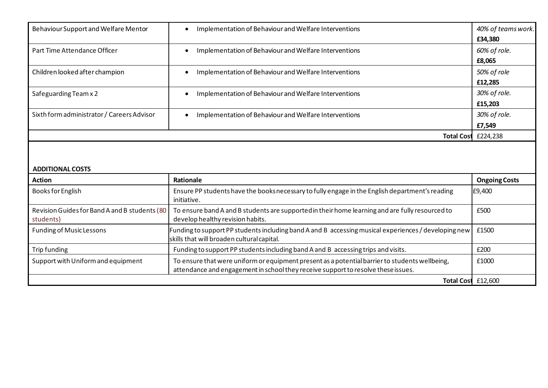| Behaviour Support and Welfare Mentor                       | Implementation of Behaviour and Welfare Interventions<br>$\bullet$                                                                                                                  | 40% of teams work.<br>£34,380 |
|------------------------------------------------------------|-------------------------------------------------------------------------------------------------------------------------------------------------------------------------------------|-------------------------------|
| Part Time Attendance Officer                               | Implementation of Behaviour and Welfare Interventions<br>$\bullet$                                                                                                                  | 60% of role.<br>£8,065        |
| Children looked after champion                             | Implementation of Behaviour and Welfare Interventions<br>$\bullet$                                                                                                                  | 50% of role<br>£12,285        |
| Safeguarding Team x 2                                      | Implementation of Behaviour and Welfare Interventions<br>$\bullet$                                                                                                                  | 30% of role.<br>£15,203       |
| Sixth form administrator / Careers Advisor                 | Implementation of Behaviour and Welfare Interventions<br>$\bullet$                                                                                                                  | 30% of role.<br>£7,549        |
|                                                            | <b>Total Cost</b>                                                                                                                                                                   | £224,238                      |
| <b>ADDITIONAL COSTS</b><br><b>Action</b>                   | <b>Rationale</b>                                                                                                                                                                    | <b>Ongoing Costs</b>          |
| <b>Books for English</b>                                   | Ensure PP students have the booksnecessary to fully engage in the English department's reading<br>initiative.                                                                       | £9,400                        |
| Revision Guides for Band A and B students (80<br>students) | To ensure band A and B students are supported in their home learning and are fully resourced to<br>develop healthy revision habits.                                                 | £500                          |
| <b>Funding of Music Lessons</b>                            | Funding to support PP students including band A and B accessing musical experiences / developing new<br>skills that will broaden cultural capital.                                  | £1500                         |
| Trip funding                                               | Funding to support PP students including band A and B accessing trips and visits.                                                                                                   | £200                          |
| Support with Uniform and equipment                         | To ensure that were uniform or equipment present as a potential barrier to students wellbeing,<br>attendance and engagement in school they receive support to resolve these issues. | £1000                         |
|                                                            | Total Cost £12,600                                                                                                                                                                  |                               |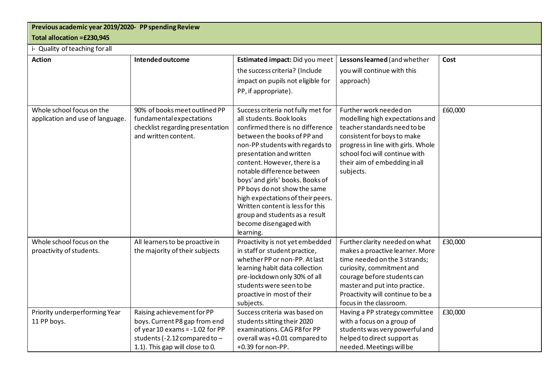# **Previous academic year 2019/2020- PP spending Review**

## **Total allocation =£230,945**

## i- Quality of teaching for all

| <b>Action</b>                                                 | Intended outcome                                                                                                                                                       | Estimated impact: Did you meet<br>the success criteria? (Include<br>impact on pupils not eligible for<br>PP, if appropriate).                                                                                                                                                                                                                                                                                                                                                        | Lessons learned (and whether<br>you will continue with this<br>approach)                                                                                                                                                                                        | Cost    |
|---------------------------------------------------------------|------------------------------------------------------------------------------------------------------------------------------------------------------------------------|--------------------------------------------------------------------------------------------------------------------------------------------------------------------------------------------------------------------------------------------------------------------------------------------------------------------------------------------------------------------------------------------------------------------------------------------------------------------------------------|-----------------------------------------------------------------------------------------------------------------------------------------------------------------------------------------------------------------------------------------------------------------|---------|
| Whole school focus on the<br>application and use of language. | 90% of books meet outlined PP<br>fundamental expectations<br>checklist regarding presentation<br>and written content.                                                  | Success criteria not fully met for<br>all students. Book looks<br>confirmed there is no difference<br>between the books of PP and<br>non-PP students with regards to<br>presentation and written<br>content. However, there is a<br>notable difference between<br>boys' and girls' books. Books of<br>PP boys do not show the same<br>high expectations of their peers.<br>Written content is less for this<br>group and students as a result<br>become disengaged with<br>learning. | Further work needed on<br>modelling high expectations and<br>teacher standards need to be<br>consistent for boys to make<br>progress in line with girls. Whole<br>school foci will continue with<br>their aim of embedding in all<br>subjects.                  | £60,000 |
| Whole school focus on the<br>proactivity of students.         | All learners to be proactive in<br>the majority of their subjects                                                                                                      | Proactivity is not yet embedded<br>in staff or student practice,<br>whether PP or non-PP. At last<br>learning habit data collection<br>pre-lockdown only 30% of all<br>students were seen to be<br>proactive in most of their<br>subjects.                                                                                                                                                                                                                                           | Further clarity needed on what<br>makes a proactive learner. More<br>time needed on the 3 strands;<br>curiosity, commitment and<br>courage before students can<br>master and put into practice.<br>Proactivity will continue to be a<br>focus in the classroom. | £30,000 |
| Priority underperforming Year<br>11 PP boys.                  | Raising achievement for PP<br>boys. Current P8 gap from end<br>of year 10 exams = $-1.02$ for PP<br>students (-2.12 compared to $-$<br>1.1). This gap will close to 0. | Success criteria was based on<br>students sitting their 2020<br>examinations. CAG P8 for PP<br>overall was +0.01 compared to<br>+0.39 for non-PP.                                                                                                                                                                                                                                                                                                                                    | Having a PP strategy committee<br>with a focus on a group of<br>students was very powerful and<br>helped to direct support as<br>needed. Meetings will be                                                                                                       | £30,000 |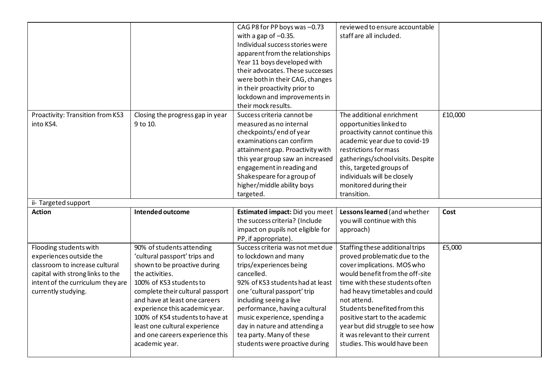|                                               |                                              | CAG P8 for PP boys was -0.73<br>with a gap of $-0.35$ .<br>Individual success stories were<br>apparent from the relationships<br>Year 11 boys developed with<br>their advocates. These successes<br>were both in their CAG, changes                                                        | reviewed to ensure accountable<br>staff are all included.                                                                                                                                                                                                                                   |         |
|-----------------------------------------------|----------------------------------------------|--------------------------------------------------------------------------------------------------------------------------------------------------------------------------------------------------------------------------------------------------------------------------------------------|---------------------------------------------------------------------------------------------------------------------------------------------------------------------------------------------------------------------------------------------------------------------------------------------|---------|
|                                               |                                              | in their proactivity prior to<br>lockdown and improvements in<br>their mock results.                                                                                                                                                                                                       |                                                                                                                                                                                                                                                                                             |         |
| Proactivity: Transition from KS3<br>into KS4. | Closing the progress gap in year<br>9 to 10. | Success criteria cannot be<br>measured as no internal<br>checkpoints/end of year<br>examinations can confirm<br>attainment gap. Proactivity with<br>this year group saw an increased<br>engagement in reading and<br>Shakespeare for a group of<br>higher/middle ability boys<br>targeted. | The additional enrichment<br>opportunities linked to<br>proactivity cannot continue this<br>academic year due to covid-19<br>restrictions for mass<br>gatherings/school visits. Despite<br>this, targeted groups of<br>individuals will be closely<br>monitored during their<br>transition. | £10,000 |
|                                               |                                              |                                                                                                                                                                                                                                                                                            |                                                                                                                                                                                                                                                                                             |         |
| ii- Targeted support                          |                                              |                                                                                                                                                                                                                                                                                            |                                                                                                                                                                                                                                                                                             |         |
| <b>Action</b>                                 | Intended outcome                             | Estimated impact: Did you meet<br>the success criteria? (Include<br>impact on pupils not eligible for<br>PP, if appropriate).                                                                                                                                                              | Lessons learned (and whether<br>you will continue with this<br>approach)                                                                                                                                                                                                                    | Cost    |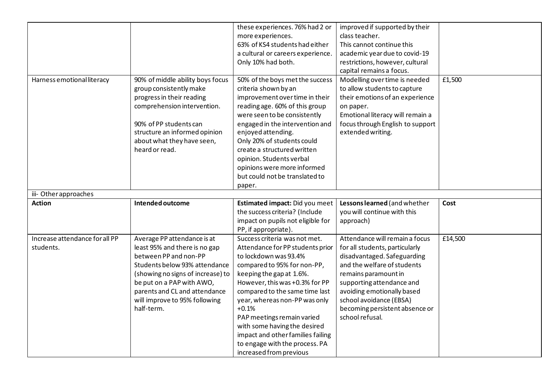|                                             |                                                                                                                                                                                                                                                                          | these experiences. 76% had 2 or<br>more experiences.<br>63% of KS4 students had either<br>a cultural or careers experience.<br>Only 10% had both.                                                                                                                                                                                                                                        | improved if supported by their<br>class teacher.<br>This cannot continue this<br>academic year due to covid-19<br>restrictions, however, cultural<br>capital remains a focus.                                                                                                                     |         |
|---------------------------------------------|--------------------------------------------------------------------------------------------------------------------------------------------------------------------------------------------------------------------------------------------------------------------------|------------------------------------------------------------------------------------------------------------------------------------------------------------------------------------------------------------------------------------------------------------------------------------------------------------------------------------------------------------------------------------------|---------------------------------------------------------------------------------------------------------------------------------------------------------------------------------------------------------------------------------------------------------------------------------------------------|---------|
| Harness emotional literacy                  | 90% of middle ability boys focus<br>group consistently make<br>progress in their reading<br>comprehension intervention.<br>90% of PP students can<br>structure an informed opinion<br>about what they have seen,<br>heard or read.                                       | 50% of the boys met the success<br>criteria shown by an<br>improvement over time in their<br>reading age. 60% of this group<br>were seen to be consistently<br>engaged in the intervention and<br>enjoyed attending.<br>Only 20% of students could<br>create a structured written<br>opinion. Students verbal<br>opinions were more informed<br>but could not be translated to<br>paper. | Modelling over time is needed<br>to allow students to capture<br>their emotions of an experience<br>on paper.<br>Emotional literacy will remain a<br>focus through English to support<br>extended writing.                                                                                        | £1,500  |
| iii- Other approaches                       |                                                                                                                                                                                                                                                                          |                                                                                                                                                                                                                                                                                                                                                                                          |                                                                                                                                                                                                                                                                                                   |         |
| <b>Action</b>                               | Intended outcome                                                                                                                                                                                                                                                         | Estimated impact: Did you meet<br>the success criteria? (Include<br>impact on pupils not eligible for<br>PP, if appropriate).                                                                                                                                                                                                                                                            | Lessons learned (and whether<br>you will continue with this<br>approach)                                                                                                                                                                                                                          | Cost    |
| Increase attendance for all PP<br>students. | Average PP attendance is at<br>least 95% and there is no gap<br>between PP and non-PP<br>Students below 93% attendance<br>(showing no signs of increase) to<br>be put on a PAP with AWO,<br>parents and CL and attendance<br>will improve to 95% following<br>half-term. | Success criteria was not met.<br>Attendance for PP students prior<br>to lockdown was 93.4%<br>compared to 95% for non-PP,<br>keeping the gap at 1.6%.<br>However, this was +0.3% for PP<br>compared to the same time last<br>year, whereas non-PP was only<br>$+0.1%$<br>PAP meetings remain varied                                                                                      | Attendance will remain a focus<br>for all students, particularly<br>disadvantaged. Safeguarding<br>and the welfare of students<br>remains paramount in<br>supporting attendance and<br>avoiding emotionally based<br>school avoidance (EBSA)<br>becoming persistent absence or<br>school refusal. | £14,500 |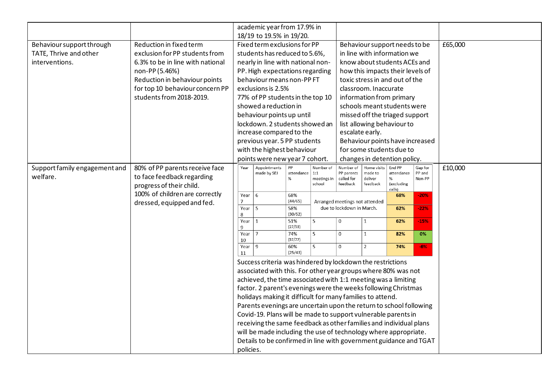|                               |                                  |                               | academic year from 17.9% in                                        |                 |                             |                                                             |                       |                                  |                   |         |
|-------------------------------|----------------------------------|-------------------------------|--------------------------------------------------------------------|-----------------|-----------------------------|-------------------------------------------------------------|-----------------------|----------------------------------|-------------------|---------|
|                               |                                  |                               | 18/19 to 19.5% in 19/20.                                           |                 |                             |                                                             |                       |                                  |                   |         |
| Behaviour support through     | Reduction in fixed term          |                               | Fixed term exclusions for PP                                       |                 |                             |                                                             |                       | Behaviour support needs to be    |                   | £65,000 |
| TATE, Thrive and other        | exclusion for PP students from   | students has reduced to 5.6%, |                                                                    |                 | in line with information we |                                                             |                       |                                  |                   |         |
| interventions.                | 6.3% to be in line with national |                               | nearly in line with national non-                                  |                 |                             | know about students ACEs and                                |                       |                                  |                   |         |
|                               | non-PP (5.46%)                   |                               | PP. High expectations regarding                                    |                 |                             |                                                             |                       | how this impacts their levels of |                   |         |
|                               | Reduction in behaviour points    |                               | behaviour means non-PPFT                                           |                 |                             |                                                             |                       | toxic stress in and out of the   |                   |         |
|                               | for top 10 behaviour concern PP  |                               | exclusions is 2.5%                                                 |                 |                             |                                                             | classroom. Inaccurate |                                  |                   |         |
|                               | students from 2018-2019.         |                               | 77% of PP students in the top 10                                   |                 |                             |                                                             |                       | information from primary         |                   |         |
|                               |                                  |                               | showed a reduction in                                              |                 |                             |                                                             |                       | schools meant students were      |                   |         |
|                               |                                  |                               | behaviour points up until                                          |                 |                             |                                                             |                       | missed off the triaged support   |                   |         |
|                               |                                  |                               | lockdown. 2 students showed an                                     |                 |                             |                                                             |                       | list allowing behaviour to       |                   |         |
|                               |                                  |                               | increase compared to the                                           |                 |                             |                                                             | escalate early.       |                                  |                   |         |
|                               |                                  |                               | previous year. 5 PP students                                       |                 |                             |                                                             |                       | Behaviour points have increased  |                   |         |
|                               |                                  |                               | with the highest behaviour                                         |                 |                             |                                                             |                       | for some students due to         |                   |         |
|                               |                                  |                               | points were new year 7 cohort.                                     |                 |                             |                                                             |                       | changes in detention policy.     |                   |         |
| Support family engagement and | 80% of PP parents receive face   | Year                          | Appointments                                                       | PP              | Number of                   | Number of                                                   | Home visits           | End PP                           | Gap for<br>PP and | £10,000 |
| welfare.                      | to face feedback regarding       |                               | made by SEJ                                                        | attendance<br>% | 1:1<br>meetings in          | PP parents<br>called for                                    | made to<br>deliver    | attendance<br>%                  | Non-PP            |         |
|                               | progress of their child.         |                               |                                                                    |                 | school                      | feedback                                                    | feedback              | (excluding<br>calls)             |                   |         |
|                               | 100% of children are correctly   | Year                          | 6                                                                  | 68%             |                             |                                                             |                       | 68%                              | $-20%$            |         |
|                               | dressed, equipped and fed.       | $\overline{7}$<br>Year        | 5                                                                  | (44/65)<br>58%  |                             | Arranged meetings not attended<br>due to lockdown in March. |                       | 62%                              | $-22%$            |         |
|                               |                                  | 8                             |                                                                    | (30/52)         |                             |                                                             |                       |                                  |                   |         |
|                               |                                  | Year<br>9                     | 1                                                                  | 51%<br>(27/53)  | 5                           | $\mathbf 0$                                                 | $\mathbf{1}$          | 62%                              | $-15%$            |         |
|                               |                                  | Year<br>10                    | $\overline{7}$                                                     | 74%<br>(57/77)  | $\overline{5}$              | $\mathbf 0$                                                 | $\mathbf{1}$          | 82%                              | 0%                |         |
|                               |                                  | Year                          | 9                                                                  | 60%             | 5                           | $\boldsymbol{0}$                                            | $\overline{2}$        | 74%                              | $-6%$             |         |
|                               |                                  | 11                            |                                                                    | (25/43)         |                             |                                                             |                       |                                  |                   |         |
|                               |                                  |                               | Success criteria was hindered by lockdown the restrictions         |                 |                             |                                                             |                       |                                  |                   |         |
|                               |                                  |                               | associated with this. For other year groups where 80% was not      |                 |                             |                                                             |                       |                                  |                   |         |
|                               |                                  |                               | achieved, the time associated with 1:1 meeting was a limiting      |                 |                             |                                                             |                       |                                  |                   |         |
|                               |                                  |                               | factor. 2 parent's evenings were the weeks following Christmas     |                 |                             |                                                             |                       |                                  |                   |         |
|                               |                                  |                               | holidays making it difficult for many families to attend.          |                 |                             |                                                             |                       |                                  |                   |         |
|                               |                                  |                               | Parents evenings are uncertain upon the return to school following |                 |                             |                                                             |                       |                                  |                   |         |
|                               |                                  |                               | Covid-19. Plans will be made to support vulnerable parents in      |                 |                             |                                                             |                       |                                  |                   |         |
|                               |                                  |                               | receiving the same feedback as other families and individual plans |                 |                             |                                                             |                       |                                  |                   |         |
|                               |                                  |                               | will be made including the use of technology where appropriate.    |                 |                             |                                                             |                       |                                  |                   |         |
|                               |                                  |                               | Details to be confirmed in line with government guidance and TGAT  |                 |                             |                                                             |                       |                                  |                   |         |
|                               |                                  | policies.                     |                                                                    |                 |                             |                                                             |                       |                                  |                   |         |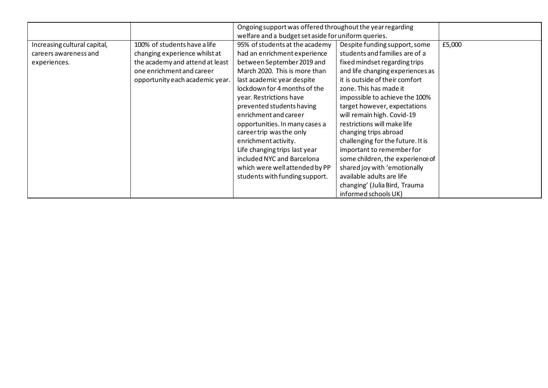|                              |                                 | Ongoing support was offered throughout the year regarding     |                                   |        |
|------------------------------|---------------------------------|---------------------------------------------------------------|-----------------------------------|--------|
|                              |                                 | welfare and a budget set aside for uniform queries.           |                                   |        |
| Increasing cultural capital, | 100% of students have a life    | 95% of students at the academy                                | Despite funding support, some     | £5,000 |
| careers awareness and        | changing experience whilst at   | had an enrichment experience                                  | students and families are of a    |        |
| experiences.                 | the academy and attend at least | between September 2019 and                                    | fixed mindset regarding trips     |        |
|                              | one enrichment and career       | March 2020. This is more than                                 | and life changing experiences as  |        |
|                              | opportunity each academic year. | last academic year despite                                    | it is outside of their comfort    |        |
|                              |                                 | lockdown for 4 months of the                                  | zone. This has made it            |        |
|                              |                                 | year. Restrictions have                                       | impossible to achieve the 100%    |        |
|                              |                                 | prevented students having                                     | target however, expectations      |        |
|                              |                                 | enrichment and career                                         | will remain high. Covid-19        |        |
|                              |                                 | restrictions will make life<br>opportunities. In many cases a |                                   |        |
|                              |                                 | career trip was the only                                      | changing trips abroad             |        |
|                              |                                 | enrichment activity.                                          | challenging for the future. It is |        |
|                              |                                 | Life changing trips last year                                 | important to remember for         |        |
|                              |                                 | included NYC and Barcelona                                    | some children, the experience of  |        |
|                              |                                 | which were well attended by PP                                | shared joy with 'emotionally      |        |
|                              |                                 | students with funding support.                                | available adults are life         |        |
|                              |                                 |                                                               | changing' (Julia Bird, Trauma     |        |
|                              |                                 |                                                               | informed schools UK)              |        |